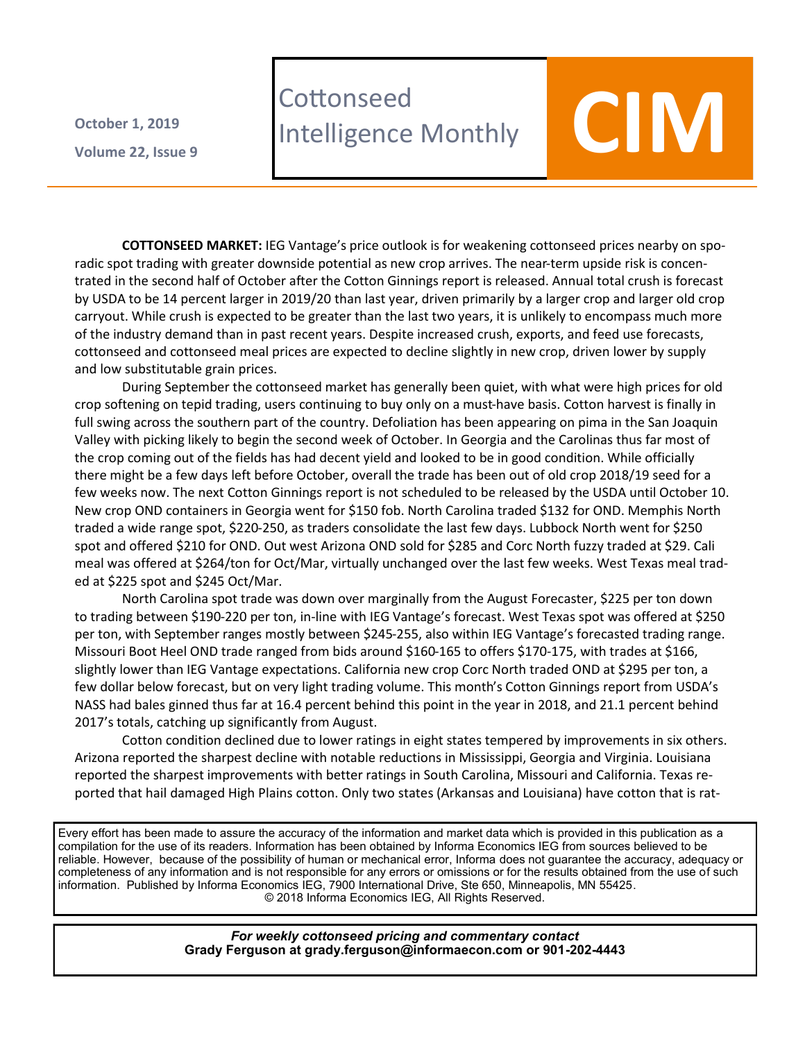**Volume 22 , Issue 9 October 1, 2019**

## **Cottonseed Cottonseed<br>Intelligence Monthly COLOV**

**COTTONSEED MARKET:** IEG Vantage's price outlook is for weakening cottonseed prices nearby on sporadic spot trading with greater downside potential as new crop arrives. The near-term upside risk is concentrated in the second half of October after the Cotton Ginnings report is released. Annual total crush is forecast by USDA to be 14 percent larger in 2019/20 than last year, driven primarily by a larger crop and larger old crop carryout. While crush is expected to be greater than the last two years, it is unlikely to encompass much more of the industry demand than in past recent years. Despite increased crush, exports, and feed use forecasts, cottonseed and cottonseed meal prices are expected to decline slightly in new crop, driven lower by supply and low substitutable grain prices.

During September the cottonseed market has generally been quiet, with what were high prices for old crop softening on tepid trading, users continuing to buy only on a must-have basis. Cotton harvest is finally in full swing across the southern part of the country. Defoliation has been appearing on pima in the San Joaquin Valley with picking likely to begin the second week of October. In Georgia and the Carolinas thus far most of the crop coming out of the fields has had decent yield and looked to be in good condition. While officially there might be a few days left before October, overall the trade has been out of old crop 2018/19 seed for a few weeks now. The next Cotton Ginnings report is not scheduled to be released by the USDA until October 10. New crop OND containers in Georgia went for \$150 fob. North Carolina traded \$132 for OND. Memphis North traded a wide range spot, \$220-250, as traders consolidate the last few days. Lubbock North went for \$250 spot and offered \$210 for OND. Out west Arizona OND sold for \$285 and Corc North fuzzy traded at \$29. Cali meal was offered at \$264/ton for Oct/Mar, virtually unchanged over the last few weeks. West Texas meal traded at \$225 spot and \$245 Oct/Mar.

North Carolina spot trade was down over marginally from the August Forecaster, \$225 per ton down to trading between \$190-220 per ton, in-line with IEG Vantage's forecast. West Texas spot was offered at \$250 per ton, with September ranges mostly between \$245-255, also within IEG Vantage's forecasted trading range. Missouri Boot Heel OND trade ranged from bids around \$160-165 to offers \$170-175, with trades at \$166, slightly lower than IEG Vantage expectations. California new crop Corc North traded OND at \$295 per ton, a few dollar below forecast, but on very light trading volume. This month's Cotton Ginnings report from USDA's NASS had bales ginned thus far at 16.4 percent behind this point in the year in 2018, and 21.1 percent behind 2017's totals, catching up significantly from August.

Cotton condition declined due to lower ratings in eight states tempered by improvements in six others. Arizona reported the sharpest decline with notable reductions in Mississippi, Georgia and Virginia. Louisiana reported the sharpest improvements with better ratings in South Carolina, Missouri and California. Texas reported that hail damaged High Plains cotton. Only two states (Arkansas and Louisiana) have cotton that is rat-

Every effort has been made to assure the accuracy of the information and market data which is provided in this publication as a compilation for the use of its readers. Information has been obtained by Informa Economics IEG from sources believed to be reliable. However, because of the possibility of human or mechanical error, Informa does not guarantee the accuracy, adequacy or completeness of any information and is not responsible for any errors or omissions or for the results obtained from the use of such information. Published by Informa Economics IEG, 7900 International Drive, Ste 650, Minneapolis, MN 55425. © 2018 Informa Economics IEG, All Rights Reserved.

> *For weekly cottonseed pricing and commentary contact* **Grady Ferguson at grady.ferguson@informaecon.com or 901-202-4443**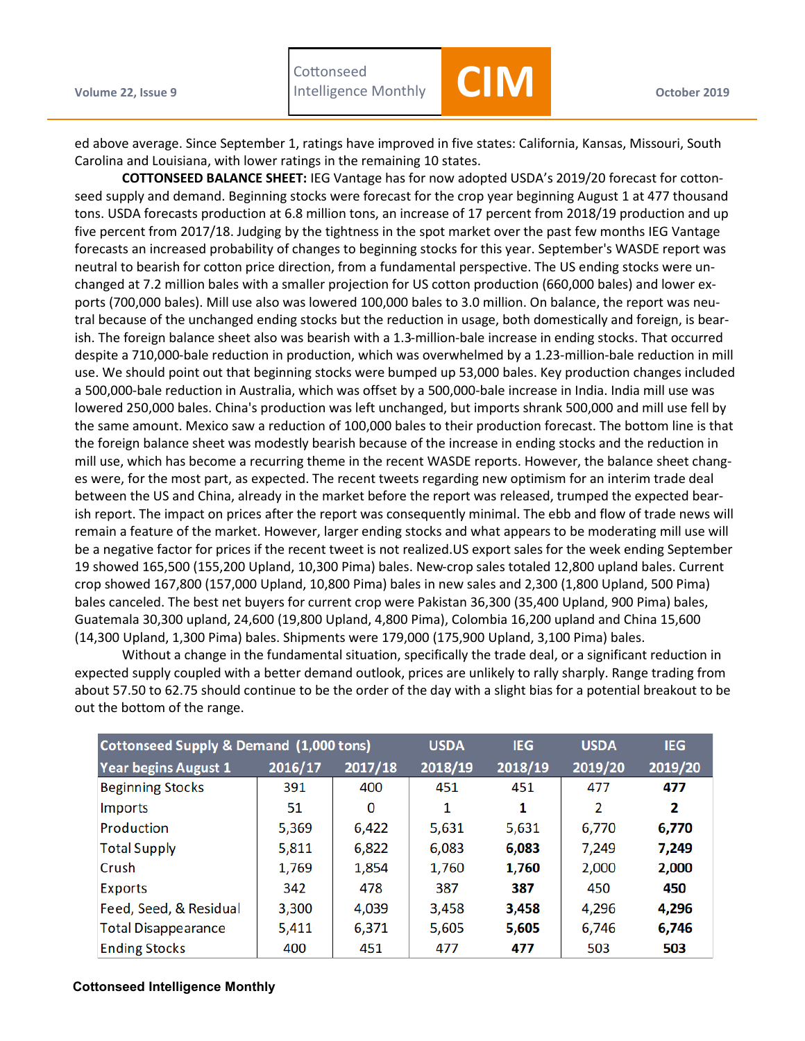

ed above average. Since September 1, ratings have improved in five states: California, Kansas, Missouri, South Carolina and Louisiana, with lower ratings in the remaining 10 states.

**COTTONSEED BALANCE SHEET:** IEG Vantage has for now adopted USDA's 2019/20 forecast for cottonseed supply and demand. Beginning stocks were forecast for the crop year beginning August 1 at 477 thousand tons. USDA forecasts production at 6.8 million tons, an increase of 17 percent from 2018/19 production and up five percent from 2017/18. Judging by the tightness in the spot market over the past few months IEG Vantage forecasts an increased probability of changes to beginning stocks for this year. September's WASDE report was neutral to bearish for cotton price direction, from a fundamental perspective. The US ending stocks were unchanged at 7.2 million bales with a smaller projection for US cotton production (660,000 bales) and lower exports (700,000 bales). Mill use also was lowered 100,000 bales to 3.0 million. On balance, the report was neutral because of the unchanged ending stocks but the reduction in usage, both domestically and foreign, is bearish. The foreign balance sheet also was bearish with a 1.3-million-bale increase in ending stocks. That occurred despite a 710,000-bale reduction in production, which was overwhelmed by a 1.23-million-bale reduction in mill use. We should point out that beginning stocks were bumped up 53,000 bales. Key production changes included a 500,000-bale reduction in Australia, which was offset by a 500,000-bale increase in India. India mill use was lowered 250,000 bales. China's production was left unchanged, but imports shrank 500,000 and mill use fell by the same amount. Mexico saw a reduction of 100,000 bales to their production forecast. The bottom line is that the foreign balance sheet was modestly bearish because of the increase in ending stocks and the reduction in mill use, which has become a recurring theme in the recent WASDE reports. However, the balance sheet changes were, for the most part, as expected. The recent tweets regarding new optimism for an interim trade deal between the US and China, already in the market before the report was released, trumped the expected bearish report. The impact on prices after the report was consequently minimal. The ebb and flow of trade news will remain a feature of the market. However, larger ending stocks and what appears to be moderating mill use will be a negative factor for prices if the recent tweet is not realized.US export sales for the week ending September 19 showed 165,500 (155,200 Upland, 10,300 Pima) bales. New-crop sales totaled 12,800 upland bales. Current crop showed 167,800 (157,000 Upland, 10,800 Pima) bales in new sales and 2,300 (1,800 Upland, 500 Pima) bales canceled. The best net buyers for current crop were Pakistan 36,300 (35,400 Upland, 900 Pima) bales, Guatemala 30,300 upland, 24,600 (19,800 Upland, 4,800 Pima), Colombia 16,200 upland and China 15,600 (14,300 Upland, 1,300 Pima) bales. Shipments were 179,000 (175,900 Upland, 3,100 Pima) bales.

Without a change in the fundamental situation, specifically the trade deal, or a significant reduction in expected supply coupled with a better demand outlook, prices are unlikely to rally sharply. Range trading from about 57.50 to 62.75 should continue to be the order of the day with a slight bias for a potential breakout to be out the bottom of the range.

| Cottonseed Supply & Demand (1,000 tons) |         |         | <b>USDA</b> | <b>IEG</b> | <b>USDA</b> | <b>IEG</b> |
|-----------------------------------------|---------|---------|-------------|------------|-------------|------------|
| Year begins August 1                    | 2016/17 | 2017/18 | 2018/19     | 2018/19    | 2019/20     | 2019/20    |
| <b>Beginning Stocks</b>                 | 391     | 400     | 451         | 451        | 477         | 477        |
| <b>Imports</b>                          | 51      | 0       | 1           | 1          | 2           | 2          |
| Production                              | 5,369   | 6,422   | 5,631       | 5,631      | 6,770       | 6,770      |
| <b>Total Supply</b>                     | 5,811   | 6,822   | 6,083       | 6,083      | 7,249       | 7,249      |
| Crush                                   | 1,769   | 1,854   | 1,760       | 1,760      | 2,000       | 2,000      |
| <b>Exports</b>                          | 342     | 478     | 387         | 387        | 450         | 450        |
| Feed, Seed, & Residual                  | 3,300   | 4,039   | 3,458       | 3,458      | 4,296       | 4,296      |
| <b>Total Disappearance</b>              | 5,411   | 6,371   | 5,605       | 5,605      | 6,746       | 6,746      |
| <b>Ending Stocks</b>                    | 400     | 451     | 477         | 477        | 503         | 503        |

## **Cottonseed Intelligence Monthly**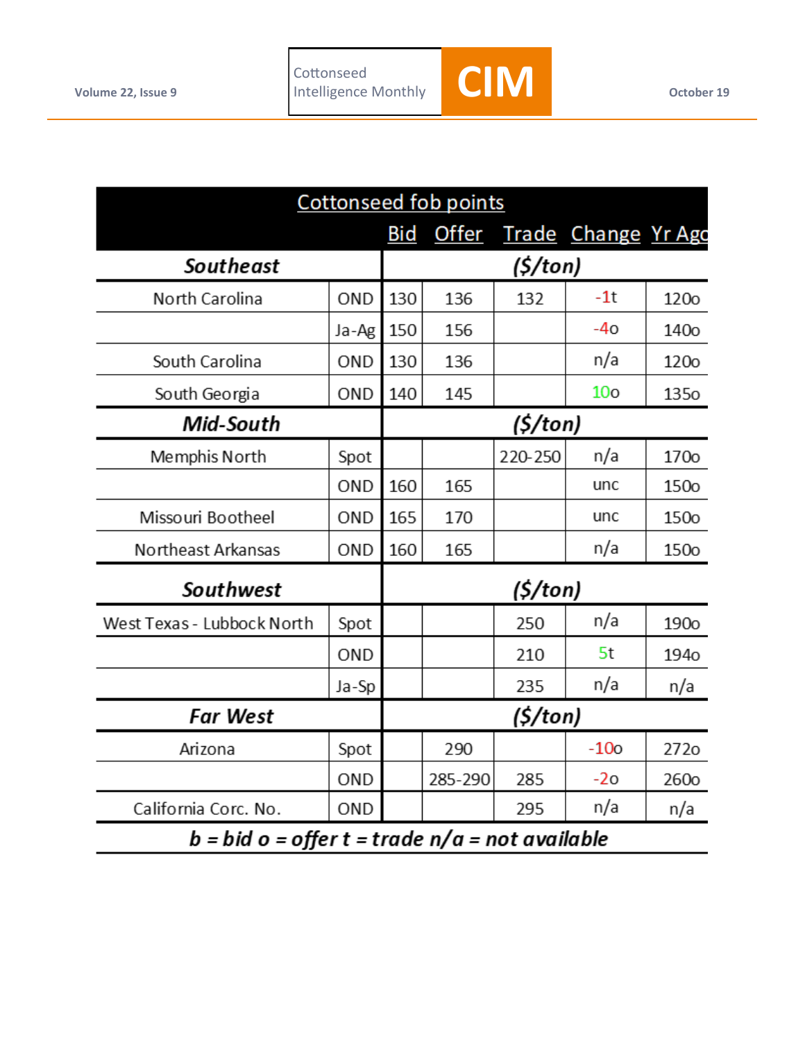

| <b>Cottonseed fob points</b>                    |       |     |              |         |                            |                  |  |
|-------------------------------------------------|-------|-----|--------------|---------|----------------------------|------------------|--|
|                                                 |       | Bid | <u>Offer</u> |         | <b>Trade Change Yr Ago</b> |                  |  |
| <b>Southeast</b>                                |       |     | (S/ton)      |         |                            |                  |  |
| North Carolina                                  | OND   | 130 | 136          | 132     | $-1t$                      | <b>120o</b>      |  |
|                                                 | Ja-Ag | 150 | 156          |         | $-40$                      | 140 <sub>o</sub> |  |
| South Carolina                                  | OND   | 130 | 136          |         | n/a                        | <b>120o</b>      |  |
| South Georgia                                   | OND   | 140 | 145          |         | 10 <sub>o</sub>            | 135 <sub>o</sub> |  |
| Mid-South                                       |       |     | (S/ton)      |         |                            |                  |  |
| Memphis North                                   | Spot  |     |              | 220-250 | n/a                        | 170 <sub>o</sub> |  |
|                                                 | OND   | 160 | 165          |         | unc                        | 150o             |  |
| Missouri Bootheel                               | OND   | 165 | 170          |         | unc                        | 150o             |  |
| Northeast Arkansas                              | OND   | 160 | 165          |         | n/a                        | 150o             |  |
| Southwest                                       |       |     | (5/ton)      |         |                            |                  |  |
| West Texas - Lubbock North                      | Spot  |     |              | 250     | n/a                        | 190 <sub>o</sub> |  |
|                                                 | OND   |     |              | 210     | 5t                         | 194 <sub>o</sub> |  |
|                                                 | Ja-Sp |     |              | 235     | n/a                        | n/a              |  |
| <b>Far West</b>                                 |       |     | (5/ton)      |         |                            |                  |  |
| Arizona                                         | Spot  |     | 290          |         | $-10o$                     | 272o             |  |
|                                                 | OND   |     | 285-290      | 285     | $-20$                      | 260 <sub>o</sub> |  |
| California Corc. No.                            | OND   |     |              | 295     | n/a                        | n/a              |  |
| b = bid o = offer t = trade n/a = not available |       |     |              |         |                            |                  |  |